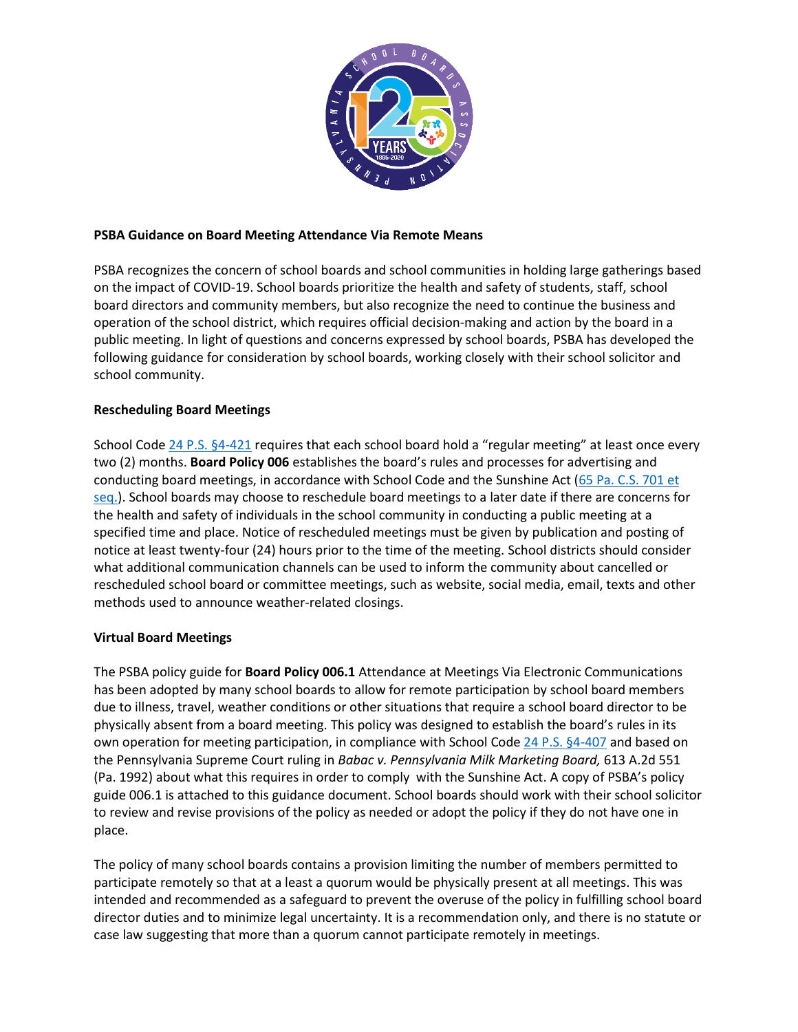

### **PSBA Guidance on Board Meeting Attendance Via Remote Means**

PSBA recognizes the concern of school boards and school communities in holding large gatherings based on the impact of COVID-19. School boards prioritize the health and safety of students, staff, school board directors and community members, but also recognize the need to continue the business and operation of the school district, which requires official decision-making and action by the board in a public meeting. In light of questions and concerns expressed by school boards, PSBA has developed the following guidance for consideration by school boards, working closely with their school solicitor and school community.

## **Rescheduling Board Meetings**

School Cod[e 24 P.S. §4-421](https://www.legis.state.pa.us/cfdocs/legis/LI/uconsCheck.cfm?txtType=HTM&yr=1949&sessInd=0&smthLwInd=0&act=14&chpt=4&sctn=21&subsctn=0) requires that each school board hold a "regular meeting" at least once every two (2) months. **Board Policy 006** establishes the board's rules and processes for advertising and conducting board meetings, in accordance with School Code and the Sunshine Act (65 Pa. C.S. 701 et [seq.\)](https://www.legis.state.pa.us/cfdocs/legis/LI/consCheck.cfm?txtType=HTM&ttl=65&div=0&chpt=7). School boards may choose to reschedule board meetings to a later date if there are concerns for the health and safety of individuals in the school community in conducting a public meeting at a specified time and place. Notice of rescheduled meetings must be given by publication and posting of notice at least twenty-four (24) hours prior to the time of the meeting. School districts should consider what additional communication channels can be used to inform the community about cancelled or rescheduled school board or committee meetings, such as website, social media, email, texts and other methods used to announce weather-related closings.

# **Virtual Board Meetings**

The PSBA policy guide for **Board Policy 006.1** Attendance at Meetings Via Electronic Communications has been adopted by many school boards to allow for remote participation by school board members due to illness, travel, weather conditions or other situations that require a school board director to be physically absent from a board meeting. This policy was designed to establish the board's rules in its own operation for meeting participation, in compliance with School Code [24 P.S. §4-407](https://www.legis.state.pa.us/cfdocs/legis/LI/uconsCheck.cfm?txtType=HTM&yr=1949&sessInd=0&smthLwInd=0&act=14&chpt=4&sctn=7&subsctn=0) and based on the Pennsylvania Supreme Court ruling in *Babac v. Pennsylvania Milk Marketing Board,* 613 A.2d 551 (Pa. 1992) about what this requires in order to comply with the Sunshine Act. A copy of PSBA's policy guide 006.1 is attached to this guidance document. School boards should work with their school solicitor to review and revise provisions of the policy as needed or adopt the policy if they do not have one in place.

The policy of many school boards contains a provision limiting the number of members permitted to participate remotely so that at a least a quorum would be physically present at all meetings. This was intended and recommended as a safeguard to prevent the overuse of the policy in fulfilling school board director duties and to minimize legal uncertainty. It is a recommendation only, and there is no statute or case law suggesting that more than a quorum cannot participate remotely in meetings.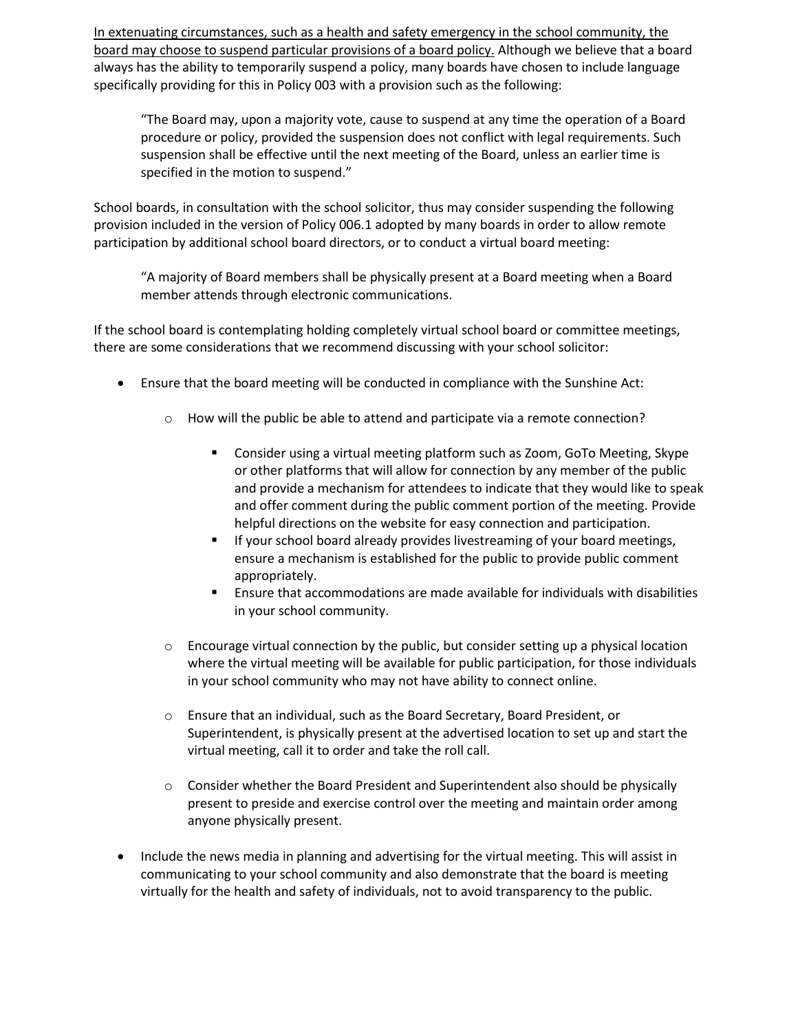In extenuating circumstances, such as a health and safety emergency in the school community, the board may choose to suspend particular provisions of a board policy. Although we believe that a board always has the ability to temporarily suspend a policy, many boards have chosen to include language specifically providing for this in Policy 003 with a provision such as the following:

"The Board may, upon a majority vote, cause to suspend at any time the operation of a Board procedure or policy, provided the suspension does not conflict with legal requirements. Such suspension shall be effective until the next meeting of the Board, unless an earlier time is specified in the motion to suspend."

School boards, in consultation with the school solicitor, thus may consider suspending the following provision included in the version of Policy 006.1 adopted by many boards in order to allow remote participation by additional school board directors, or to conduct a virtual board meeting:

"A majority of Board members shall be physically present at a Board meeting when a Board member attends through electronic communications.

If the school board is contemplating holding completely virtual school board or committee meetings, there are some considerations that we recommend discussing with your school solicitor:

- Ensure that the board meeting will be conducted in compliance with the Sunshine Act:
	- o How will the public be able to attend and participate via a remote connection?
		- Consider using a virtual meeting platform such as Zoom, GoTo Meeting, Skype or other platforms that will allow for connection by any member of the public and provide a mechanism for attendees to indicate that they would like to speak and offer comment during the public comment portion of the meeting. Provide helpful directions on the website for easy connection and participation.
		- **E** If your school board already provides livestreaming of your board meetings, ensure a mechanism is established for the public to provide public comment appropriately.
		- Ensure that accommodations are made available for individuals with disabilities in your school community.
	- $\circ$  Encourage virtual connection by the public, but consider setting up a physical location where the virtual meeting will be available for public participation, for those individuals in your school community who may not have ability to connect online.
	- o Ensure that an individual, such as the Board Secretary, Board President, or Superintendent, is physically present at the advertised location to set up and start the virtual meeting, call it to order and take the roll call.
	- $\circ$  Consider whether the Board President and Superintendent also should be physically present to preside and exercise control over the meeting and maintain order among anyone physically present.
- Include the news media in planning and advertising for the virtual meeting. This will assist in communicating to your school community and also demonstrate that the board is meeting virtually for the health and safety of individuals, not to avoid transparency to the public.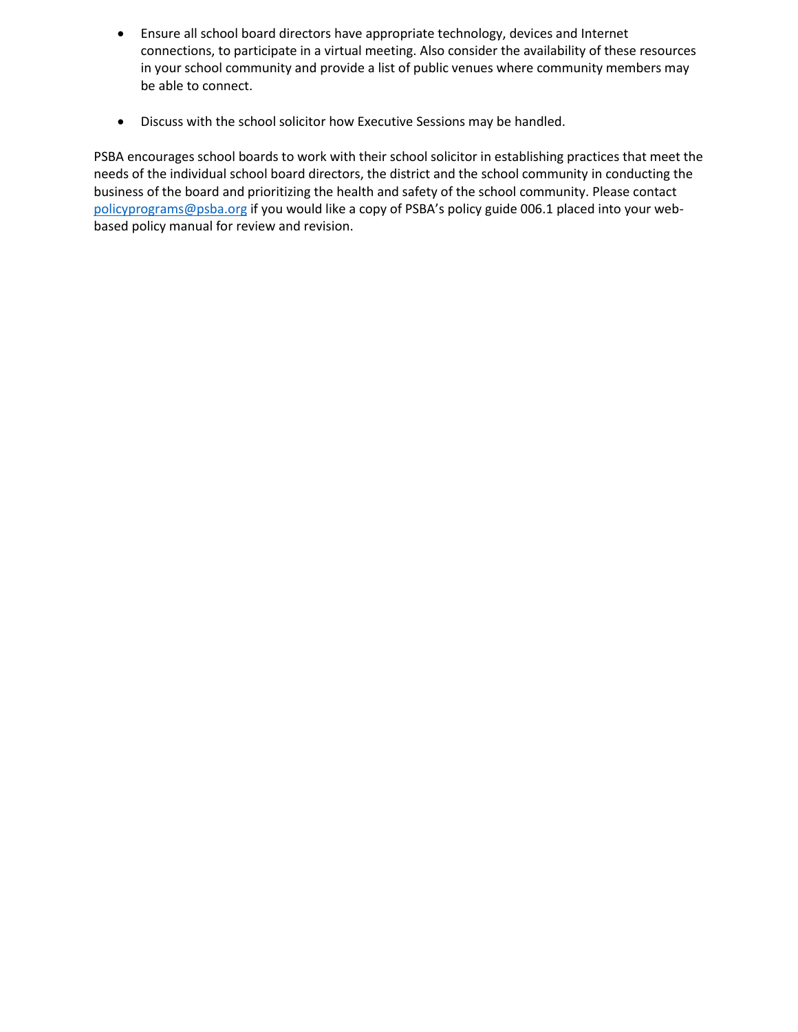- Ensure all school board directors have appropriate technology, devices and Internet connections, to participate in a virtual meeting. Also consider the availability of these resources in your school community and provide a list of public venues where community members may be able to connect.
- Discuss with the school solicitor how Executive Sessions may be handled.

PSBA encourages school boards to work with their school solicitor in establishing practices that meet the needs of the individual school board directors, the district and the school community in conducting the business of the board and prioritizing the health and safety of the school community. Please contact [policyprograms@psba.org](mailto:policyprograms@psba.org) if you would like a copy of PSBA's policy guide 006.1 placed into your webbased policy manual for review and revision.